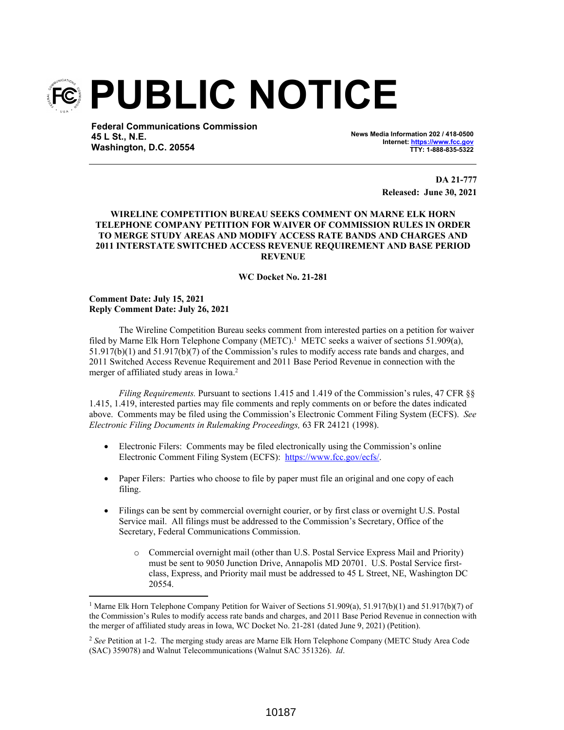

**Federal Communications Commission 45 L St., N.E. Washington, D.C. 20554**

**News Media Information 202 / 418-0500 Internet: https://www.fcc.gov TTY: 1-888-835-5322**

> **DA 21-777 Released: June 30, 2021**

## **WIRELINE COMPETITION BUREAU SEEKS COMMENT ON MARNE ELK HORN TELEPHONE COMPANY PETITION FOR WAIVER OF COMMISSION RULES IN ORDER TO MERGE STUDY AREAS AND MODIFY ACCESS RATE BANDS AND CHARGES AND 2011 INTERSTATE SWITCHED ACCESS REVENUE REQUIREMENT AND BASE PERIOD REVENUE**

## **WC Docket No. 21-281**

**Comment Date: July 15, 2021 Reply Comment Date: July 26, 2021**

The Wireline Competition Bureau seeks comment from interested parties on a petition for waiver filed by Marne Elk Horn Telephone Company (METC).<sup>1</sup> METC seeks a waiver of sections 51.909(a), 51.917(b)(1) and 51.917(b)(7) of the Commission's rules to modify access rate bands and charges, and 2011 Switched Access Revenue Requirement and 2011 Base Period Revenue in connection with the merger of affiliated study areas in Iowa.<sup>2</sup>

*Filing Requirements.* Pursuant to sections 1.415 and 1.419 of the Commission's rules, 47 CFR §§ 1.415, 1.419, interested parties may file comments and reply comments on or before the dates indicated above. Comments may be filed using the Commission's Electronic Comment Filing System (ECFS). *See Electronic Filing Documents in Rulemaking Proceedings,* 63 FR 24121 (1998).

- Electronic Filers: Comments may be filed electronically using the Commission's online Electronic Comment Filing System (ECFS): https://www.fcc.gov/ecfs/.
- Paper Filers: Parties who choose to file by paper must file an original and one copy of each filing.
- Filings can be sent by commercial overnight courier, or by first class or overnight U.S. Postal Service mail. All filings must be addressed to the Commission's Secretary, Office of the Secretary, Federal Communications Commission.
	- o Commercial overnight mail (other than U.S. Postal Service Express Mail and Priority) must be sent to 9050 Junction Drive, Annapolis MD 20701. U.S. Postal Service firstclass, Express, and Priority mail must be addressed to 45 L Street, NE, Washington DC 20554.

<sup>&</sup>lt;sup>1</sup> Marne Elk Horn Telephone Company Petition for Waiver of Sections 51.909(a), 51.917(b)(1) and 51.917(b)(7) of the Commission's Rules to modify access rate bands and charges, and 2011 Base Period Revenue in connection with the merger of affiliated study areas in Iowa, WC Docket No. 21-281 (dated June 9, 2021) (Petition).

<sup>2</sup> *See* Petition at 1-2. The merging study areas are Marne Elk Horn Telephone Company (METC Study Area Code (SAC) 359078) and Walnut Telecommunications (Walnut SAC 351326). *Id*.